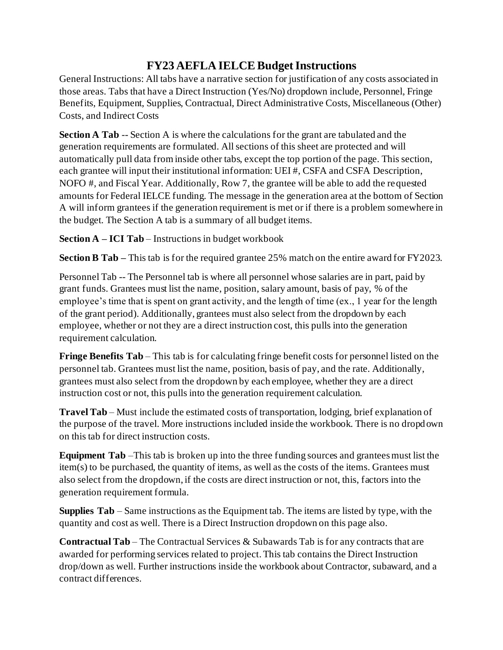## **FY23 AEFLA IELCEBudget Instructions**

General Instructions: All tabs have a narrative section for justification of any costs associated in those areas. Tabs that have a Direct Instruction (Yes/No) dropdown include, Personnel, Fringe Benefits, Equipment, Supplies, Contractual, Direct Administrative Costs, Miscellaneous (Other) Costs, and Indirect Costs

**Section A Tab** -- Section A is where the calculations for the grant are tabulated and the generation requirements are formulated. All sections of this sheet are protected and will automatically pull data from inside other tabs, except the top portion of the page. This section, each grantee will input their institutional information: UEI #, CSFA and CSFA Description, NOFO #, and Fiscal Year. Additionally, Row 7, the grantee will be able to add the requested amounts for Federal IELCE funding. The message in the generation area at the bottom of Section A will inform grantees if the generation requirement is met or if there is a problem somewhere in the budget. The Section A tab is a summary of all budget items.

**Section A – ICI Tab** – Instructions in budget workbook

**Section B Tab** – This tab is for the required grantee 25% match on the entire award for FY2023.

Personnel Tab -- The Personnel tab is where all personnel whose salaries are in part, paid by grant funds. Grantees must list the name, position, salary amount, basis of pay, % of the employee's time that is spent on grant activity, and the length of time (ex., 1 year for the length of the grant period). Additionally, grantees must also select from the dropdown by each employee, whether or not they are a direct instruction cost, this pulls into the generation requirement calculation.

**Fringe Benefits Tab** – This tab is for calculating fringe benefit costs for personnel listed on the personnel tab. Grantees must list the name, position, basis of pay, and the rate. Additionally, grantees must also select from the dropdown by each employee, whether they are a direct instruction cost or not, this pulls into the generation requirement calculation.

**Travel Tab** – Must include the estimated costs of transportation, lodging, brief explanation of the purpose of the travel. More instructions included inside the workbook. There is no dropdown on this tab for direct instruction costs.

**Equipment Tab** –This tab is broken up into the three funding sources and grantees must list the item(s) to be purchased, the quantity of items, as well as the costs of the items. Grantees must also select from the dropdown, if the costs are direct instruction or not, this, factors into the generation requirement formula.

**Supplies Tab** – Same instructions as the Equipment tab. The items are listed by type, with the quantity and cost as well. There is a Direct Instruction dropdown on this page also.

**Contractual Tab** – The Contractual Services & Subawards Tab is for any contracts that are awarded for performing services related to project. This tab contains the Direct Instruction drop/down as well. Further instructions inside the workbook about Contractor, subaward, and a contract differences.